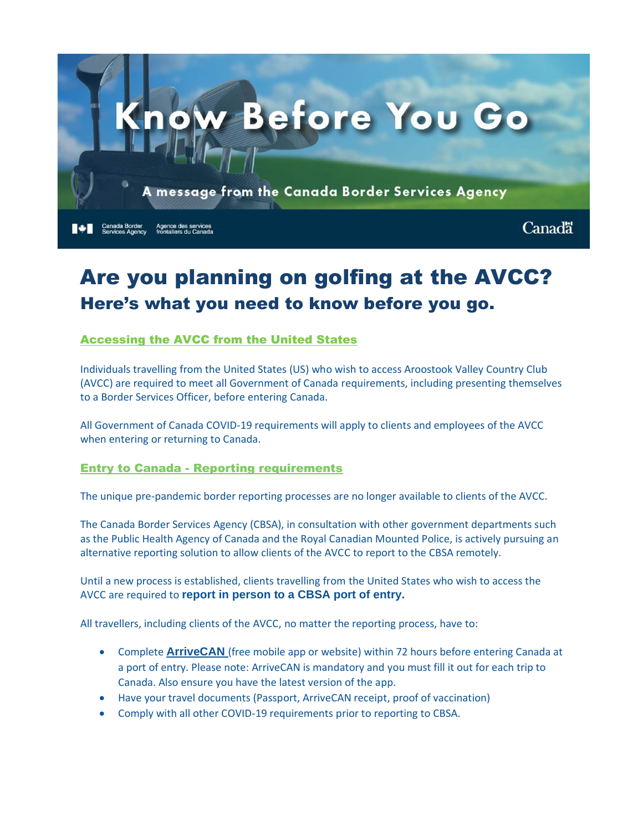

# Are you planning on golfing at the AVCC? Here's what you need to know before you go.

# Accessing the AVCC from the United States

Individuals travelling from the United States (US) who wish to access Aroostook Valley Country Club (AVCC) are required to meet all Government of Canada requirements, including presenting themselves to a Border Services Officer, before entering Canada.

All Government of Canada COVID-19 requirements will apply to clients and employees of the AVCC when entering or returning to Canada.

#### Entry to Canada - Reporting requirements

The unique pre-pandemic border reporting processes are no longer available to clients of the AVCC.

The Canada Border Services Agency (CBSA), in consultation with other government departments such as the Public Health Agency of Canada and the Royal Canadian Mounted Police, is actively pursuing an alternative reporting solution to allow clients of the AVCC to report to the CBSA remotely.

Until a new process is established, clients travelling from the United States who wish to access the AVCC are required to **report in person to a CBSA port of entry.**

All travellers, including clients of the AVCC, no matter the reporting process, have to:

- Complete **[ArriveCAN](https://www.canada.ca/en/public-health/services/diseases/coronavirus-disease-covid-19/arrivecan.html)** (free mobile app or website) within 72 hours before entering Canada at a port of entry. Please note: ArriveCAN is mandatory and you must fill it out for each trip to Canada. Also ensure you have the latest version of the app.
- Have your travel documents (Passport, ArriveCAN receipt, proof of vaccination)
- Comply with all other COVID-19 requirements prior to reporting to CBSA.